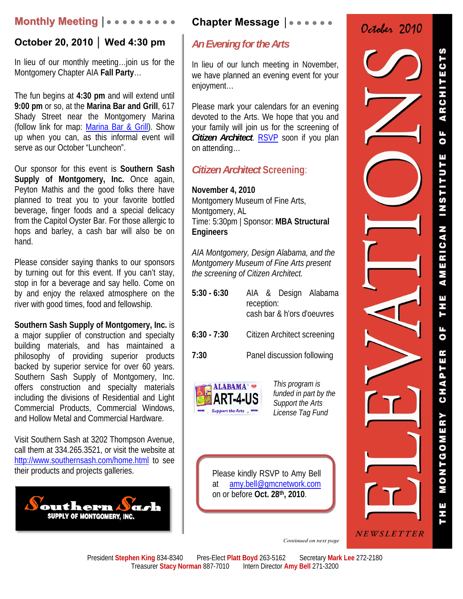## **Monthly Meeting │● ● ● ● ● ● ● ● ●**

## **October 20, 2010 │ Wed 4:30 pm**

In lieu of our monthly meeting…join us for the Montgomery Chapter AIA **Fall Party**…

The fun begins at **4:30 pm** and will extend until **9:00 pm** or so, at the **Marina Bar and Grill**, 617 Shady Street near the Montgomery Marina (follow link for map: Marina Bar & Grill). Show up when you can, as this informal event will serve as our October "Luncheon".

Our sponsor for this event is **Southern Sash Supply of Montgomery, Inc.** Once again, Peyton Mathis and the good folks there have planned to treat you to your favorite bottled beverage, finger foods and a special delicacy from the Capitol Oyster Bar. For those allergic to hops and barley, a cash bar will also be on hand.

Please consider saying thanks to our sponsors by turning out for this event. If you can't stay, stop in for a beverage and say hello. Come on by and enjoy the relaxed atmosphere on the river with good times, food and fellowship.

**Southern Sash Supply of Montgomery, Inc.** is a major supplier of construction and specialty building materials, and has maintained a philosophy of providing superior products backed by superior service for over 60 years. Southern Sash Supply of Montgomery, Inc. offers construction and specialty materials including the divisions of Residential and Light Commercial Products, Commercial Windows, and Hollow Metal and Commercial Hardware.

Visit Southern Sash at 3202 Thompson Avenue, call them at 334.265.3521, or visit the website at http://www.southernsash.com/home.html to see their products and projects galleries.



# **Chapter Message** │● ● ● ● ● ●

# *An Evening for the Arts*

In lieu of our lunch meeting in November, we have planned an evening event for your enjoyment…

Please mark your calendars for an evening devoted to the Arts. We hope that you and your family will join us for the screening of *Citizen Architect*. RSVP soon if you plan on attending…

## *Citizen Architect* **Screening**:

**November 4, 2010** Montgomery Museum of Fine Arts, Montgomery, AL Time: 5:30pm | Sponsor: **MBA Structural Engineers**

*AIA Montgomery, Design Alabama, and the Montgomery Museum of Fine Arts present the screening of Citizen Architect.*

| $5:30 - 6:30$ | reception: | cash bar & h'ors d'oeuvres         | AIA & Design Alabama |
|---------------|------------|------------------------------------|----------------------|
| $6:30 - 7:30$ |            | <b>Citizen Architect screening</b> |                      |

**7:30** Panel discussion following



*This program is funded in part by the Support the Arts License Tag Fund* 

Please kindly RSVP to Amy Bell at amy.bell@gmcnetwork.com on or before **Oct. 28th, 2010**.





Continued on next page